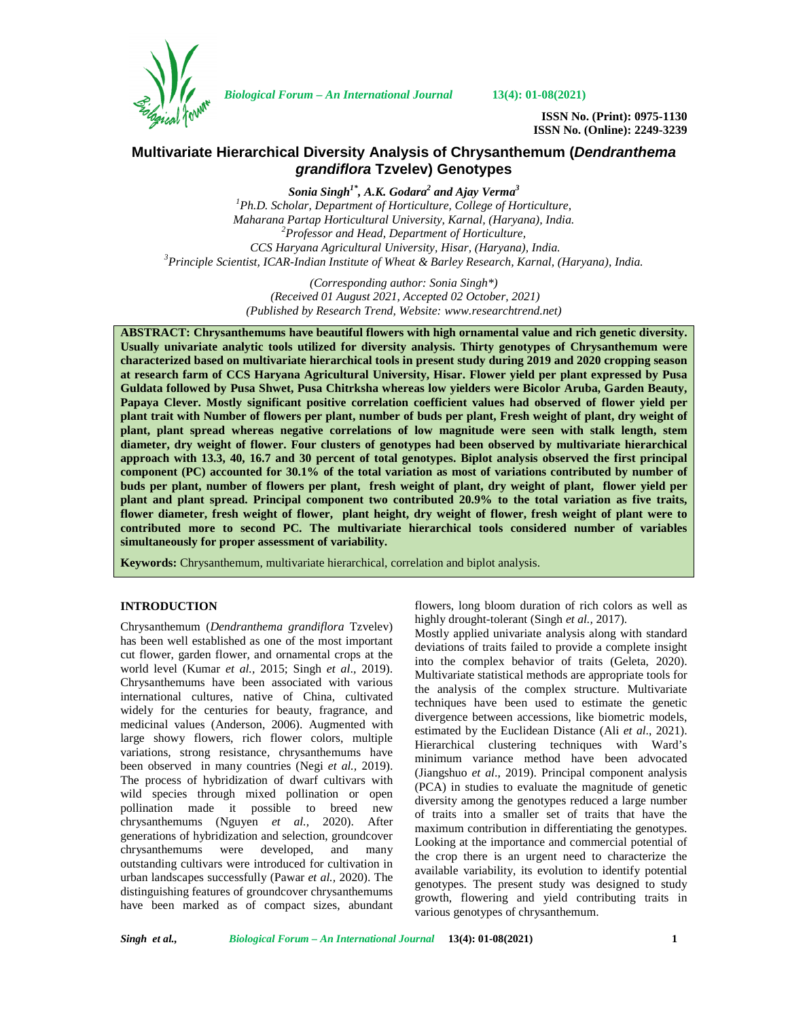

*Biological Forum – An International Journal* **13(4): 01-08(2021)**

**ISSN No. (Print): 0975-1130 ISSN No. (Online): 2249-3239**

# **Multivariate Hierarchical Diversity Analysis of Chrysanthemum (***Dendranthema grandiflora* **Tzvelev) Genotypes**

*Sonia Singh1\* , A.K. Godara<sup>2</sup> and Ajay Verma<sup>3</sup> <sup>1</sup>Ph.D. Scholar, Department of Horticulture, College of Horticulture, Maharana Partap Horticultural University, Karnal, (Haryana), India. <sup>2</sup>Professor and Head, Department of Horticulture,* CCS Haryana Agricultural University, Hisar, (Haryana), India.<br><sup>3</sup> Principle Scientist, ICAR-Indian Institute of Wheat & Barley Research, Karnal, (Haryana), India.

> *(Corresponding author: Sonia Singh\*) (Received 01 August 2021, Accepted 02 October, 2021) (Published by Research Trend, Website: <www.researchtrend.net>)*

**ABSTRACT: Chrysanthemums have beautiful flowers with high ornamental value and rich genetic diversity. Usually univariate analytic tools utilized for diversity analysis. Thirty genotypes of Chrysanthemum were characterized based on multivariate hierarchical tools in present study during 2019 and 2020 cropping season at research farm of CCS Haryana Agricultural University, Hisar. Flower yield per plant expressed by Pusa Guldata followed by Pusa Shwet, Pusa Chitrksha whereas low yielders were Bicolor Aruba, Garden Beauty, Papaya Clever. Mostly significant positive correlation coefficient values had observed of flower yield per plant trait with Number of flowers per plant, number of buds per plant, Fresh weight of plant, dry weight of plant, plant spread whereas negative correlations of low magnitude were seen with stalk length, stem diameter, dry weight of flower. Four clusters of genotypes had been observed by multivariate hierarchical approach with 13.3, 40, 16.7 and 30 percent of total genotypes. Biplot analysis observed the first principal component (PC) accounted for 30.1% of the total variation as most of variations contributed by number of buds per plant, number of flowers per plant, fresh weight of plant, dry weight of plant, flower yield per plant and plant spread. Principal component two contributed 20.9% to the total variation asfive traits, flower diameter, fresh weight of flower, plant height, dry weight of flower, fresh weight of plant were to contributed more to second PC. The multivariate hierarchical tools considered number of variables simultaneously for proper assessment of variability.**

**Keywords:** Chrysanthemum, multivariate hierarchical, correlation and biplot analysis.

## **INTRODUCTION**

Chrysanthemum (*Dendranthema grandiflora* Tzvelev) has been well established as one of the most important cut flower, garden flower, and ornamental crops at the world level (Kumar *et al.,* 2015; Singh *et al*., 2019). Chrysanthemums have been associated with various international cultures, native of China, cultivated widely for the centuries for beauty, fragrance, and medicinal values (Anderson, 2006). Augmented with large showy flowers, rich flower colors, multiple variations, strong resistance, chrysanthemums have been observed in many countries (Negi *et al.,* 2019). The process of hybridization of dwarf cultivars with wild species through mixed pollination or open pollination made it possible to breed new chrysanthemums (Nguyen *et al.,* 2020). After generations of hybridization and selection, groundcover chrysanthemums were developed, and many outstanding cultivars were introduced for cultivation in urban landscapes successfully (Pawar *et al.,* 2020). The distinguishing features of groundcover chrysanthemums have been marked as of compact sizes, abundant flowers, long bloom duration of rich colors as well as highly drought-tolerant (Singh *et al.,* 2017).

Mostly applied univariate analysis along with standard deviations of traits failed to provide a complete insight into the complex behavior of traits (Geleta, 2020). Multivariate statistical methods are appropriate tools for the analysis of the complex structure. Multivariate techniques have been used to estimate the genetic divergence between accessions, like biometric models, estimated by the Euclidean Distance (Ali *et al*., 2021). Hierarchical clustering techniques with Ward's minimum variance method have been advocated (Jiangshuo *et al*., 2019). Principal component analysis (PCA) in studies to evaluate the magnitude of genetic diversity among the genotypes reduced a large number of traits into a smaller set of traits that have the maximum contribution in differentiating the genotypes. Looking at the importance and commercial potential of the crop there is an urgent need to characterize the available variability, its evolution to identify potential genotypes. The present study was designed to study growth, flowering and yield contributing traits in various genotypes of chrysanthemum.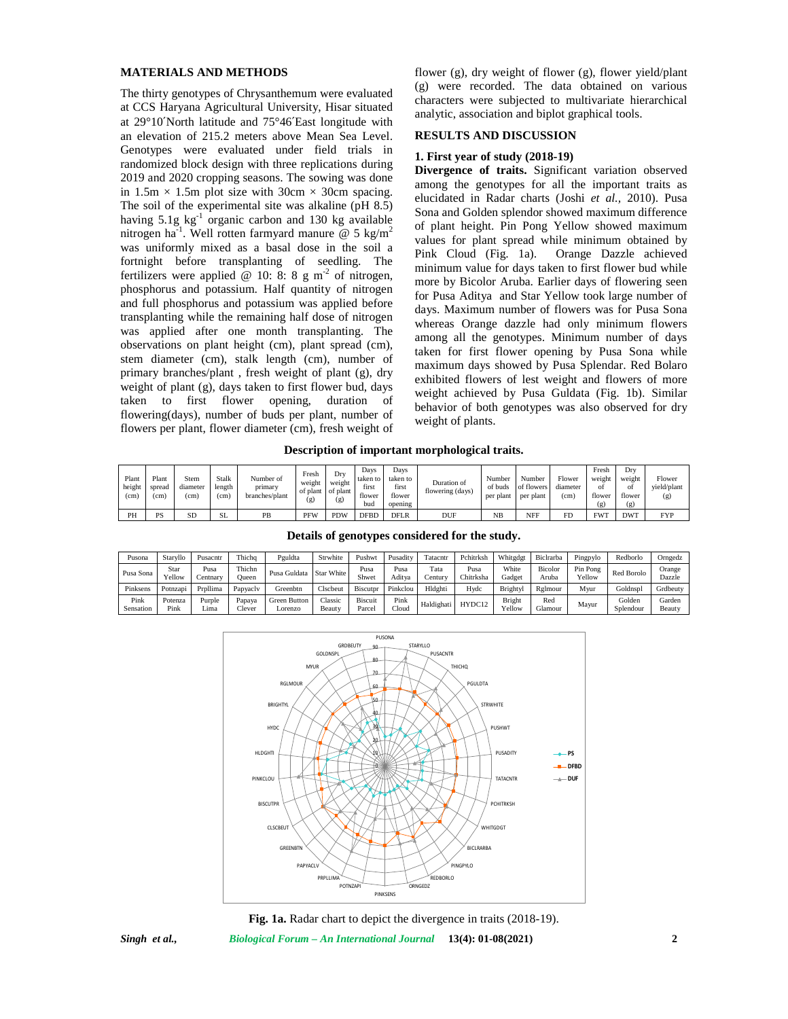### **MATERIALS AND METHODS**

The thirty genotypes of Chrysanthemum were evaluated at CCS Haryana Agricultural University, Hisar situated at 29°10′North latitude and 75°46′East longitude with an elevation of 215.2 meters above Mean Sea Level. Genotypes were evaluated under field trials in randomized block design with three replications during 2019 and 2020 cropping seasons. The sowing was done in 1.5m  $\times$  1.5m plot size with 30cm  $\times$  30cm spacing. The soil of the experimental site was alkaline (pH 8.5) having  $5.1g \text{ kg}^{-1}$  organic carbon and 130 kg available nitrogen ha<sup>-1</sup>. Well rotten farmyard manure @ 5 kg/m<sup>2</sup> was uniformly mixed as a basal dose in the soil a<br>Fink Cloud (Fig. 1a). fortnight before transplanting of seedling. The fertilizers were applied  $@ 10: 8: 8 g m<sup>-2</sup>$  of nitrogen, phosphorus and potassium. Half quantity of nitrogen and full phosphorus and potassium was applied before transplanting while the remaining half dose of nitrogen was applied after one month transplanting. The observations on plant height (cm), plant spread (cm), stem diameter (cm), stalk length (cm), number of primary branches/plant , fresh weight of plant (g), dry weight of plant (g), days taken to first flower bud, days taken to first flower opening, duration of flowering(days), number of buds per plant, number of flowers per plant, flower diameter (cm), fresh weight of

flower (g), dry weight of flower (g), flower yield/plant (g) were recorded. The data obtained on various characters were subjected to multivariate hierarchical analytic, association and biplot graphical tools.

### **RESULTS AND DISCUSSION**

## **1. First year of study (2018-19)**

**Divergence of traits.** Significant variation observed among the genotypes for all the important traits as elucidated in Radar charts (Joshi *et al.,* 2010). Pusa Sona and Golden splendor showed maximum difference of plant height. Pin Pong Yellow showed maximum values for plant spread while minimum obtained by Orange Dazzle achieved minimum value for days taken to first flower bud while more by Bicolor Aruba. Earlier days of flowering seen for Pusa Aditya and Star Yellow took large number of days. Maximum number of flowers was for Pusa Sona whereas Orange dazzle had only minimum flowers among all the genotypes. Minimum number of days taken for first flower opening by Pusa Sona while maximum days showed by Pusa Splendar. Red Bolaro exhibited flowers of lest weight and flowers of more weight achieved by Pusa Guldata (Fig. 1b). Similar behavior of both genotypes was also observed for dry weight of plants.

#### **Description of important morphological traits.**

| Plant<br>height<br>(c <sub>m</sub> ) | Plant<br>spread<br>(c <sub>m</sub> ) | Stem<br>diameter<br>(c <sub>m</sub> ) | <b>Stalk</b><br>length<br>(cm) | Number of<br>primary<br>branches/plant | Fresh<br>weight<br>of plant of plant<br>(g) | Dry<br>weight<br>(g) | Davs<br>taken to<br>first<br>flower<br>bud | Davs<br>taken to<br>first<br>flower<br>opening | Duration of<br>flowering (days) | Number<br>of buds<br>per plant | Number<br>of flowers<br>per plant | Flower<br>diameter<br>(cm) | Fresh<br>weight<br>οt<br>flower<br>(g) | Drv<br>weight<br>οt<br>flower<br>(g) | Flower<br>vield/plant<br>(g) |
|--------------------------------------|--------------------------------------|---------------------------------------|--------------------------------|----------------------------------------|---------------------------------------------|----------------------|--------------------------------------------|------------------------------------------------|---------------------------------|--------------------------------|-----------------------------------|----------------------------|----------------------------------------|--------------------------------------|------------------------------|
| PH                                   | PS                                   | <b>SD</b>                             | $\sim$<br>-SL                  | PB                                     | PFW                                         | PDW                  | <b>DFBL</b>                                | DFLR                                           | DUF                             | NB                             | <b>NFF</b>                        | FD                         | FWT                                    | DWT                                  | <b>FYP</b>                   |

| Pusona            | Starvllo        | Pusacntr         | Thichq                  | Pguldta                 | Strwhite          | Pushwt                   | Pusadity         | Tatacntr        | Pchitrksh         | Whitgdgt               | Biclrarba        | Pingpylo           | Redborlo            | Orngedz          |
|-------------------|-----------------|------------------|-------------------------|-------------------------|-------------------|--------------------------|------------------|-----------------|-------------------|------------------------|------------------|--------------------|---------------------|------------------|
| Pusa Sona         | Star<br>Yellow  | Pusa<br>`entnarv | Thichn<br><b>Dueen</b>  | Pusa Guldata            | Star White        | Pusa<br>Shwet            | Pusa<br>Aditva   | Tata<br>Century | Pusa<br>Chitrksha | White<br><b>Tadget</b> | Bicolor<br>Aruba | Pin Pong<br>Yellow | Red Borolo          | Orange<br>Dazzle |
| Pinksens          | Potnzapi        | Prollima         | Papyacly                | Greenbtn                | Clscbeut          | <b>Biscutpr</b>          | Pinkclou         | Hldghti         | Hydc              | <b>Brighty</b>         | Rglmour          | Mvur               | <b>Goldnspl</b>     | Grdbeutv         |
| Pink<br>Sensation | Potenza<br>Pink | Purple<br>Lima   | Papaya<br><b>Tlever</b> | Green Button<br>Lorenzo | Classic<br>Beauty | <b>Biscuit</b><br>Parcei | Pink<br>$C$ loud | Haldighati      | HYDC12            | Bright<br>ellow        | Red<br>Glamour   | Mayur              | Golden<br>Splendour | Garden<br>Beauty |

**Details of genotypes considered for the study.**



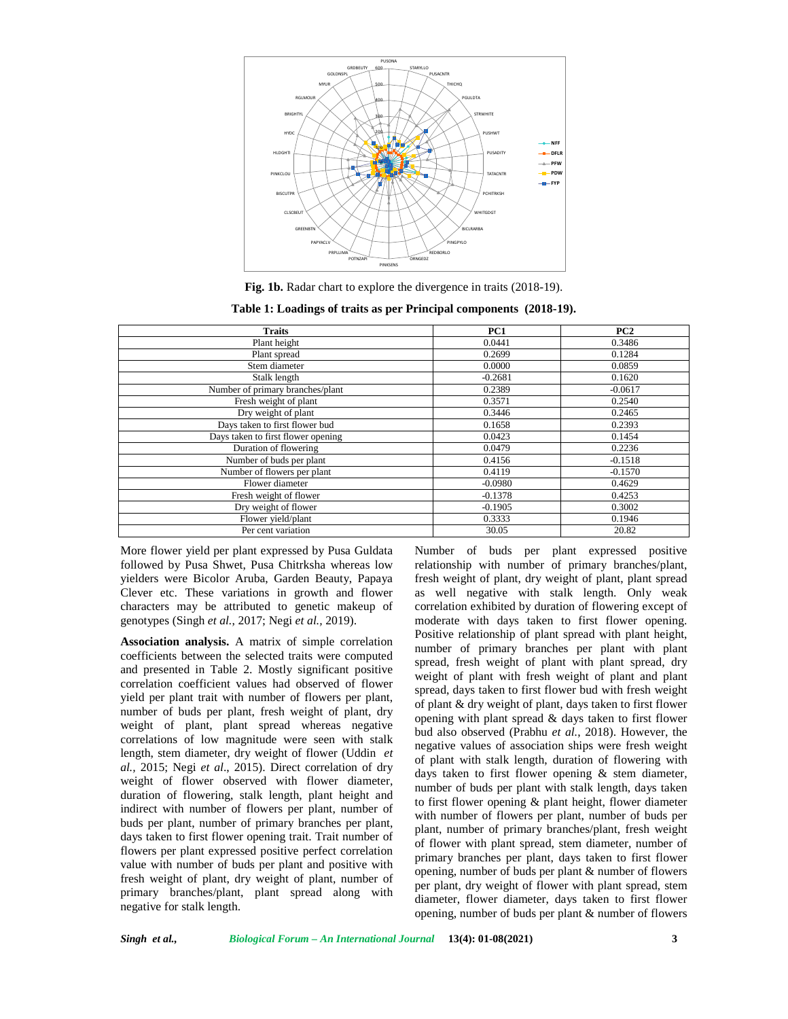

**Fig. 1b.** Radar chart to explore the divergence in traits (2018-19).

**Table 1: Loadings of traits as per Principal components (2018-19).**

| <b>Traits</b>                      | PC1       | PC2       |
|------------------------------------|-----------|-----------|
| Plant height                       | 0.0441    | 0.3486    |
| Plant spread                       | 0.2699    | 0.1284    |
| Stem diameter                      | 0.0000    | 0.0859    |
| Stalk length                       | $-0.2681$ | 0.1620    |
| Number of primary branches/plant   | 0.2389    | $-0.0617$ |
| Fresh weight of plant              | 0.3571    | 0.2540    |
| Dry weight of plant                | 0.3446    | 0.2465    |
| Days taken to first flower bud     | 0.1658    | 0.2393    |
| Days taken to first flower opening | 0.0423    | 0.1454    |
| Duration of flowering              | 0.0479    | 0.2236    |
| Number of buds per plant           | 0.4156    | $-0.1518$ |
| Number of flowers per plant        | 0.4119    | $-0.1570$ |
| Flower diameter                    | $-0.0980$ | 0.4629    |
| Fresh weight of flower             | $-0.1378$ | 0.4253    |
| Dry weight of flower               | $-0.1905$ | 0.3002    |
| Flower yield/plant                 | 0.3333    | 0.1946    |
| Per cent variation                 | 30.05     | 20.82     |

More flower yield per plant expressed by Pusa Guldata followed by Pusa Shwet, Pusa Chitrksha whereas low yielders were Bicolor Aruba, Garden Beauty, Papaya Clever etc. These variations in growth and flower characters may be attributed to genetic makeup of genotypes (Singh *et al.*, 2017; Negi *et al.,* 2019).

**Association analysis.** A matrix of simple correlation coefficients between the selected traits were computed and presented in Table 2. Mostly significant positive correlation coefficient values had observed of flower yield per plant trait with number of flowers per plant, number of buds per plant, fresh weight of plant, dry weight of plant, plant spread whereas negative correlations of low magnitude were seen with stalk length, stem diameter, dry weight of flower (Uddin *et al.,* 2015; Negi *et al*., 2015). Direct correlation of dry weight of flower observed with flower diameter, duration of flowering, stalk length, plant height and indirect with number of flowers per plant, number of buds per plant, number of primary branches per plant, days taken to first flower opening trait. Trait number of flowers per plant expressed positive perfect correlation value with number of buds per plant and positive with fresh weight of plant, dry weight of plant, number of primary branches/plant, plant spread along with negative for stalk length.

Number of buds per plant expressed positive relationship with number of primary branches/plant, fresh weight of plant, dry weight of plant, plant spread as well negative with stalk length. Only weak correlation exhibited by duration of flowering except of moderate with days taken to first flower opening. Positive relationship of plant spread with plant height, number of primary branches per plant with plant spread, fresh weight of plant with plant spread, dry weight of plant with fresh weight of plant and plant spread, days taken to first flower bud with fresh weight of plant & dry weight of plant, days taken to first flower opening with plant spread & days taken to first flower bud also observed (Prabhu *et al.*, 2018). However, the negative values of association ships were fresh weight of plant with stalk length, duration of flowering with days taken to first flower opening & stem diameter, number of buds per plant with stalk length, days taken to first flower opening & plant height, flower diameter with number of flowers per plant, number of buds per plant, number of primary branches/plant, fresh weight of flower with plant spread, stem diameter, number of primary branches per plant, days taken to first flower opening, number of buds per plant & number of flowers per plant, dry weight of flower with plant spread, stem diameter, flower diameter, days taken to first flower opening, number of buds per plant & number of flowers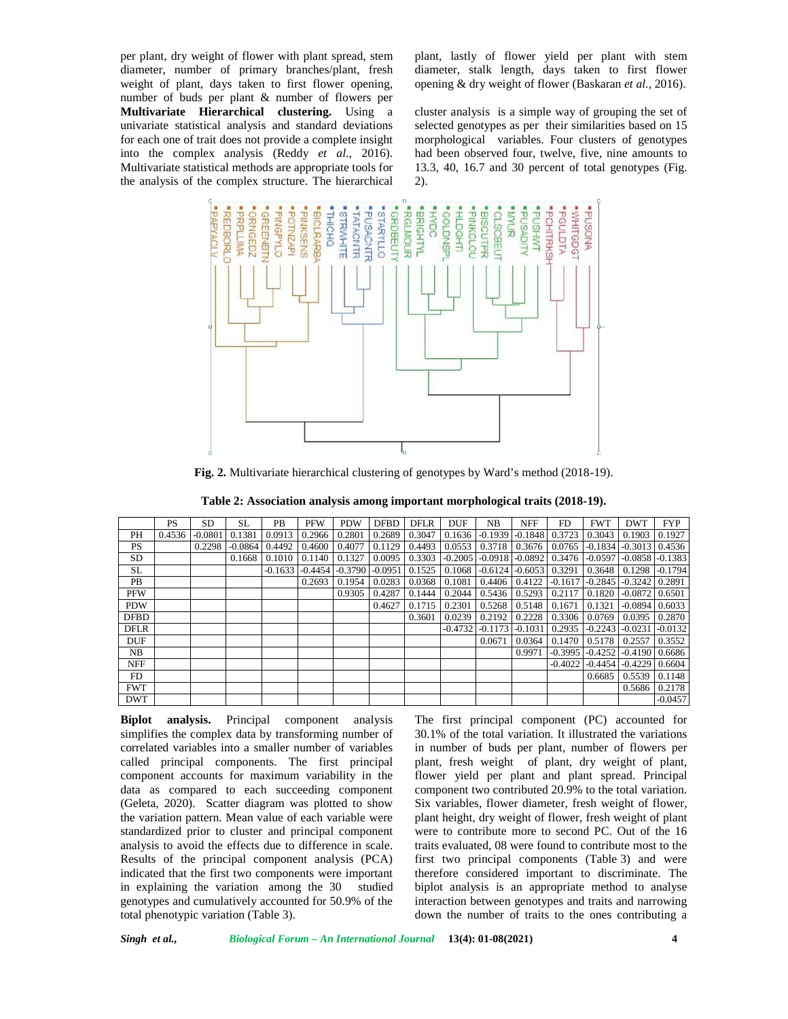per plant, dry weight of flower with plant spread, stem diameter, number of primary branches/plant, fresh weight of plant, days taken to first flower opening, number of buds per plant & number of flowers per **Multivariate Hierarchical clustering.** Using a univariate statistical analysis and standard deviations for each one of trait does not provide a complete insight into the complex analysis (Reddy *et al*., 2016). Multivariate statistical methods are appropriate tools for the analysis of the complex structure. The hierarchical plant, lastly of flower yield per plant with stem diameter, stalk length, days taken to first flower opening & dry weight of flower (Baskaran *et al.,* 2016).

cluster analysis is a simple way of grouping the set of selected genotypes as per their similarities based on 15 morphological variables. Four clusters of genotypes had been observed four, twelve, five, nine amounts to 13.3, 40, 16.7 and 30 percent of total genotypes (Fig. 2).



**Fig. 2.** Multivariate hierarchical clustering of genotypes by Ward's method (2018-19).

|             | <b>PS</b> | SD        | SL        | <b>PB</b> | <b>PFW</b> | <b>PDW</b>                                                                      | <b>DFBD</b> | <b>DFLR</b> | <b>DUF</b> | NB     | NFF                                              | FD     | <b>FWT</b> | <b>DWT</b>                                              | <b>FYP</b> |
|-------------|-----------|-----------|-----------|-----------|------------|---------------------------------------------------------------------------------|-------------|-------------|------------|--------|--------------------------------------------------|--------|------------|---------------------------------------------------------|------------|
| PН          | 0.4536    | $-0.0801$ | 0.1381    | 0.0913    | 0.2966     | 0.2801                                                                          | 0.2689      | 0.3047      | 0.1636     |        | $-0.1939$ $-0.1848$ $0.3723$                     |        | 0.3043     | 0.1903                                                  | 0.1927     |
| <b>PS</b>   |           | 0.2298    | $-0.0864$ | 0.4492    | 0.4600     | 0.4077                                                                          | 0.1129      | 0.4493      | 0.0553     | 0.3718 | 0.3676                                           | 0.0765 |            | $-0.1834$ $-0.3013$ 0.4536                              |            |
| SD.         |           |           | 0.1668    | 0.1010    | 0.1140     | 0.1327                                                                          | 0.0095      |             |            |        | $0.3303$ $-0.2005$ $-0.0918$ $-0.0892$ $-0.3476$ |        |            | $-0.0597 - 0.0858 - 0.1383$                             |            |
| SL.         |           |           |           | $-0.1633$ |            | $-0.4454$ $-0.3790$ $-0.0951$ $-0.1525$ $-0.1068$ $-0.6124$ $-0.6053$ $-0.3291$ |             |             |            |        |                                                  |        |            | $0.3648$ 0.1298 -0.1794                                 |            |
| PB          |           |           |           |           | 0.2693     | 0.1954                                                                          | 0.0283      | 0.0368      | 0.1081     |        |                                                  |        |            | $0.4406$   $0.4122$   $-0.1617$   $-0.2845$   $-0.3242$ | 0.2891     |
| <b>PFW</b>  |           |           |           |           |            | 0.9305                                                                          | 0.4287      | 0.1444      | 0.2044     |        | $0.5436 \mid 0.5293 \mid$                        | 0.2117 | 0.1820     | $-0.0872$ 0.6501                                        |            |
| <b>PDW</b>  |           |           |           |           |            |                                                                                 | 0.4627      | 0.1715      | 0.2301     | 0.5268 | 0.5148                                           | 0.1671 | 0.1321     | $-0.0894$ 0.6033                                        |            |
| <b>DFBD</b> |           |           |           |           |            |                                                                                 |             | 0.3601      | 0.0239     | 0.2192 | 0.2228                                           | 0.3306 | 0.0769     | 0.0395                                                  | 0.2870     |
| <b>DFLR</b> |           |           |           |           |            |                                                                                 |             |             | $-0.4732$  |        | $-0.1173$ $-0.1031$                              | 0.2935 |            | $-0.2243$ $-0.0231$                                     | $-0.0132$  |
| <b>DUF</b>  |           |           |           |           |            |                                                                                 |             |             |            | 0.0671 | 0.0364                                           | 0.1470 | 0.5178     | 0.2557                                                  | 0.3552     |
| NB          |           |           |           |           |            |                                                                                 |             |             |            |        | 0.9971                                           |        |            | $-0.3995$ $-0.4252$ $-0.4190$ $0.6686$                  |            |
| <b>NFF</b>  |           |           |           |           |            |                                                                                 |             |             |            |        |                                                  |        |            | $-0.4022$ $-0.4454$ $-0.4229$ 0.6604                    |            |
| FD          |           |           |           |           |            |                                                                                 |             |             |            |        |                                                  |        | 0.6685     | 0.5539                                                  | 0.1148     |
| <b>FWT</b>  |           |           |           |           |            |                                                                                 |             |             |            |        |                                                  |        |            | 0.5686                                                  | 0.2178     |
| <b>DWT</b>  |           |           |           |           |            |                                                                                 |             |             |            |        |                                                  |        |            |                                                         | $-0.0457$  |

**Biplot analysis.** Principal component analysis simplifies the complex data by transforming number of correlated variables into a smaller number of variables called principal components. The first principal component accounts for maximum variability in the data as compared to each succeeding component (Geleta, 2020). Scatter diagram was plotted to show the variation pattern. Mean value of each variable were standardized prior to cluster and principal component analysis to avoid the effects due to difference in scale. Results of the principal component analysis (PCA) indicated that the first two components were important in explaining the variation among the 30 studied genotypes and cumulatively accounted for 50.9% of the total phenotypic variation (Table 3).

The first principal component (PC) accounted for 30.1% of the total variation. It illustrated the variations in number of buds per plant, number of flowers per plant, fresh weight of plant, dry weight of plant, flower yield per plant and plant spread. Principal component two contributed 20.9% to the total variation. Six variables, flower diameter, fresh weight of flower, plant height, dry weight of flower, fresh weight of plant were to contribute more to second PC. Out of the 16 traits evaluated, 08 were found to contribute most to the first two principal components (Table 3) and were therefore considered important to discriminate. The biplot analysis is an appropriate method to analyse interaction between genotypes and traits and narrowing down the number of traits to the ones contributing a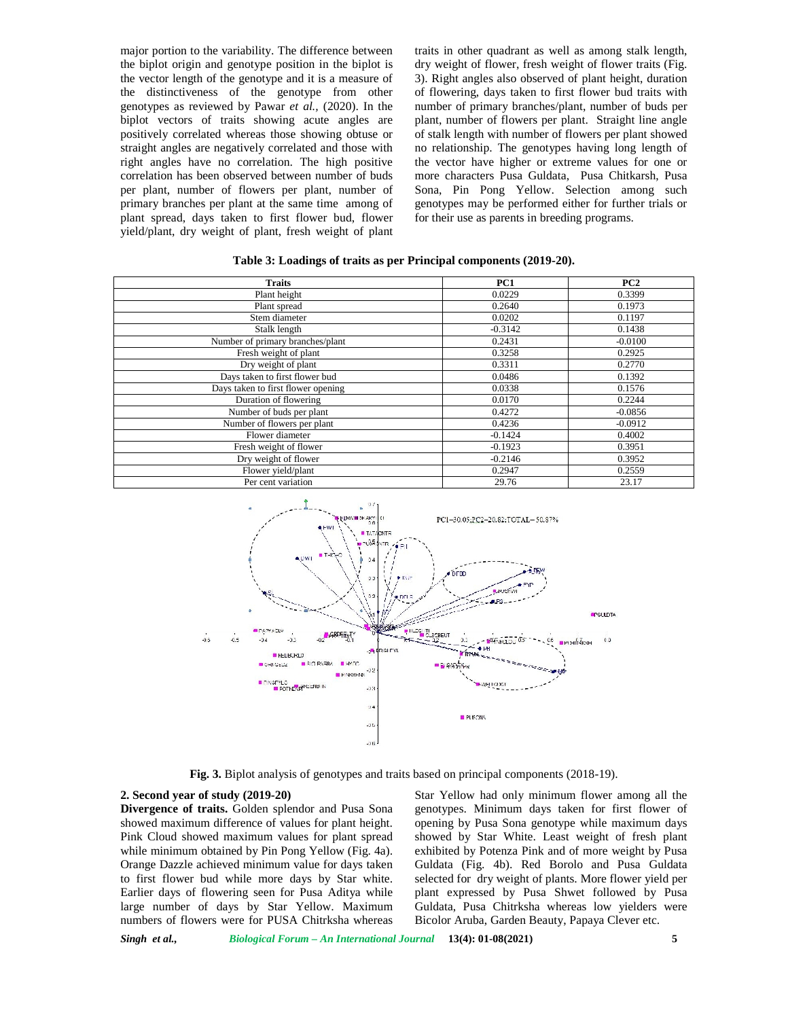major portion to the variability. The difference between the biplot origin and genotype position in the biplot is the vector length of the genotype and it is a measure of the distinctiveness of the genotype from other genotypes as reviewed by Pawar *et al.,* (2020). In the biplot vectors of traits showing acute angles are positively correlated whereas those showing obtuse or straight angles are negatively correlated and those with right angles have no correlation. The high positive correlation has been observed between number of buds per plant, number of flowers per plant, number of primary branches per plant at the same time among of plant spread, days taken to first flower bud, flower yield/plant, dry weight of plant, fresh weight of plant traits in other quadrant as well as among stalk length, dry weight of flower, fresh weight of flower traits (Fig. 3). Right angles also observed of plant height, duration of flowering, days taken to first flower bud traits with number of primary branches/plant, number of buds per plant, number of flowers per plant. Straight line angle of stalk length with number of flowers per plant showed no relationship. The genotypes having long length of the vector have higher or extreme values for one or more characters Pusa Guldata, Pusa Chitkarsh, Pusa Sona, Pin Pong Yellow. Selection among such genotypes may be performed either for further trials or for their use as parents in breeding programs.

| <b>Traits</b>                      | PC <sub>1</sub> | PC2       |
|------------------------------------|-----------------|-----------|
| Plant height                       | 0.0229          | 0.3399    |
| Plant spread                       | 0.2640          | 0.1973    |
| Stem diameter                      | 0.0202          | 0.1197    |
| Stalk length                       | $-0.3142$       | 0.1438    |
| Number of primary branches/plant   | 0.2431          | $-0.0100$ |
| Fresh weight of plant              | 0.3258          | 0.2925    |
| Dry weight of plant                | 0.3311          | 0.2770    |
| Days taken to first flower bud     | 0.0486          | 0.1392    |
| Days taken to first flower opening | 0.0338          | 0.1576    |
| Duration of flowering              | 0.0170          | 0.2244    |
| Number of buds per plant           | 0.4272          | $-0.0856$ |
| Number of flowers per plant        | 0.4236          | $-0.0912$ |
| Flower diameter                    | $-0.1424$       | 0.4002    |
| Fresh weight of flower             | $-0.1923$       | 0.3951    |
| Dry weight of flower               | $-0.2146$       | 0.3952    |
| Flower yield/plant                 | 0.2947          | 0.2559    |
| Per cent variation                 | 29.76           | 23.17     |



**Fig. 3.** Biplot analysis of genotypes and traits based on principal components (2018-19).

## **2. Second year of study (2019-20)**

**Divergence of traits.** Golden splendor and Pusa Sona showed maximum difference of values for plant height. Pink Cloud showed maximum values for plant spread while minimum obtained by Pin Pong Yellow (Fig. 4a). Orange Dazzle achieved minimum value for days taken to first flower bud while more days by Star white. Earlier days of flowering seen for Pusa Aditya while large number of days by Star Yellow. Maximum numbers of flowers were for PUSA Chitrksha whereas Star Yellow had only minimum flower among all the genotypes. Minimum days taken for first flower of opening by Pusa Sona genotype while maximum days showed by Star White. Least weight of fresh plant exhibited by Potenza Pink and of more weight by Pusa Guldata (Fig. 4b). Red Borolo and Pusa Guldata selected for dry weight of plants. More flower yield per plant expressed by Pusa Shwet followed by Pusa Guldata, Pusa Chitrksha whereas low yielders were Bicolor Aruba, Garden Beauty, Papaya Clever etc.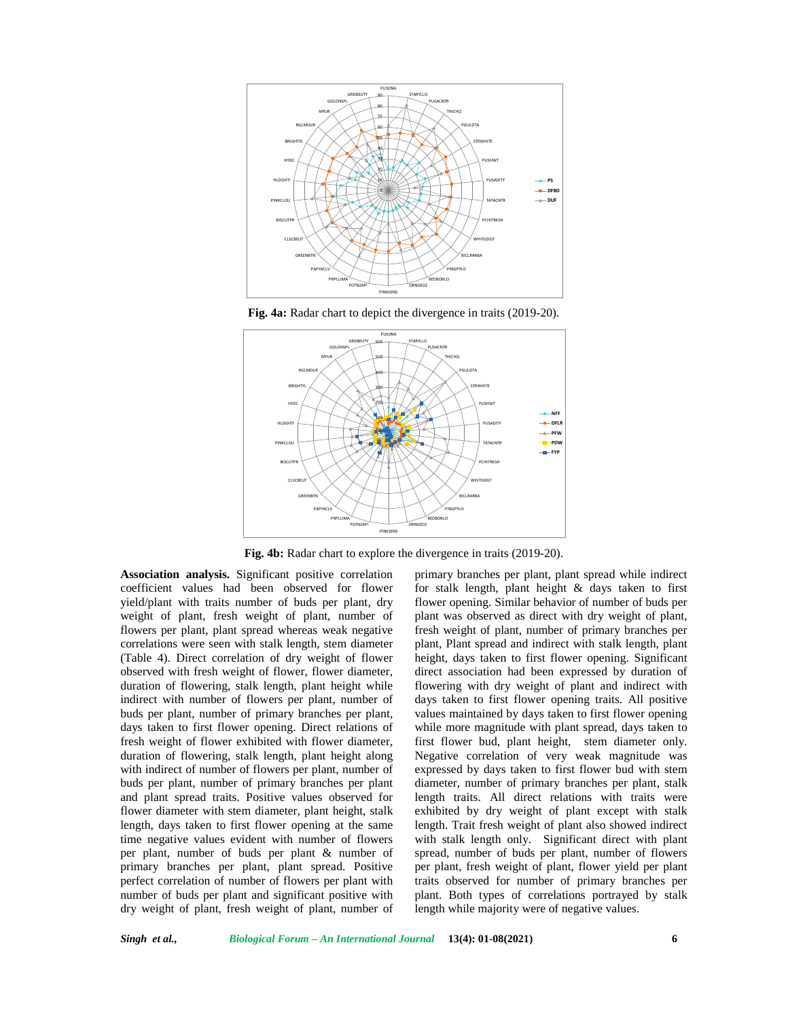

**Fig. 4a:** Radar chart to depict the divergence in traits (2019-20).



**Fig. 4b:** Radar chart to explore the divergence in traits (2019-20).

**Association analysis.** Significant positive correlation coefficient values had been observed for flower yield/plant with traits number of buds per plant, dry weight of plant, fresh weight of plant, number of flowers per plant, plant spread whereas weak negative correlations were seen with stalk length, stem diameter (Table 4). Direct correlation of dry weight of flower observed with fresh weight of flower, flower diameter, duration of flowering, stalk length, plant height while indirect with number of flowers per plant, number of buds per plant, number of primary branches per plant, days taken to first flower opening. Direct relations of fresh weight of flower exhibited with flower diameter, duration of flowering, stalk length, plant height along with indirect of number of flowers per plant, number of buds per plant, number of primary branches per plant and plant spread traits. Positive values observed for flower diameter with stem diameter, plant height, stalk length, days taken to first flower opening at the same time negative values evident with number of flowers per plant, number of buds per plant & number of primary branches per plant, plant spread. Positive perfect correlation of number of flowers per plant with number of buds per plant and significant positive with dry weight of plant, fresh weight of plant, number of

primary branches per plant, plant spread while indirect for stalk length, plant height & days taken to first flower opening. Similar behavior of number of buds per plant was observed as direct with dry weight of plant, fresh weight of plant, number of primary branches per plant, Plant spread and indirect with stalk length, plant height, days taken to first flower opening. Significant direct association had been expressed by duration of flowering with dry weight of plant and indirect with days taken to first flower opening traits. All positive values maintained by days taken to first flower opening while more magnitude with plant spread, days taken to first flower bud, plant height, stem diameter only. Negative correlation of very weak magnitude was expressed by days taken to first flower bud with stem diameter, number of primary branches per plant, stalk length traits. All direct relations with traits were exhibited by dry weight of plant except with stalk length. Trait fresh weight of plant also showed indirect with stalk length only. Significant direct with plant spread, number of buds per plant, number of flowers per plant, fresh weight of plant, flower yield per plant traits observed for number of primary branches per plant. Both types of correlations portrayed by stalk length while majority were of negative values.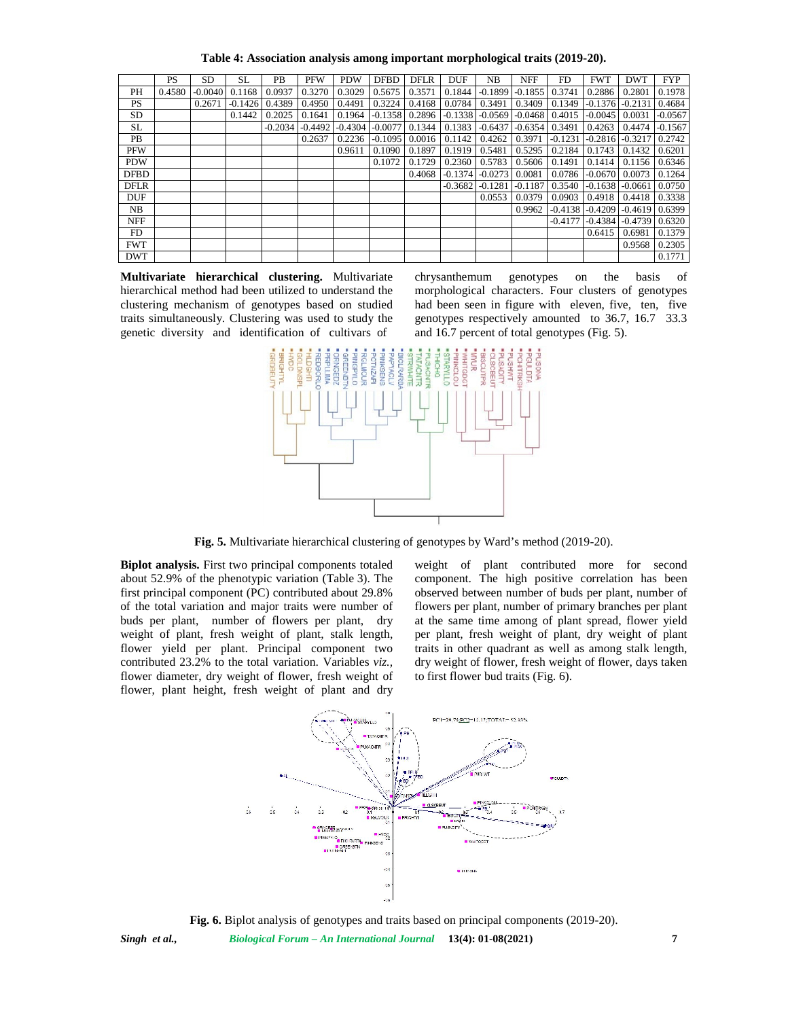**Table 4: Association analysis among important morphological traits (2019-20).**

|             | <b>PS</b> | SD        | SL               | PB        | <b>PFW</b> | <b>PDW</b> | <b>DFBD</b>                | <b>DFLR</b>                | <b>DUF</b> | NB.                 | <b>NFF</b>                                  | FD                         | <b>FWT</b>          | <b>DWT</b>                           | <b>FYP</b> |
|-------------|-----------|-----------|------------------|-----------|------------|------------|----------------------------|----------------------------|------------|---------------------|---------------------------------------------|----------------------------|---------------------|--------------------------------------|------------|
| PН          | 0.4580    | $-0.0040$ | 0.1168 0.0937    |           | 0.3270     | 0.3029     | $0.5675$ 0.3571            |                            | 0.1844     | $-0.1899$           | $-0.1855$                                   | 0.3741                     | 0.2886              | 0.2801                               | 0.1978     |
| <b>PS</b>   |           | 0.2671    | $-0.1426$ 0.4389 |           | 0.4950     | 0.4491     |                            | $0.3224$   0.4168   0.0784 |            | 0.3491              | 0.3409                                      | 0.1349                     | $-0.1376$ $-0.2131$ |                                      | 0.4684     |
| SD          |           |           | 0.1442           | 0.2025    | 0.1641     | 0.1964     | $-0.1358$ 0.2896 $-0.1338$ |                            |            |                     | $-0.0569$ $-0.0468$ 0.4015 $-0.0045$ 0.0031 |                            |                     |                                      | $-0.0567$  |
| SL.         |           |           |                  | $-0.2034$ | $-0.4492$  | $-0.4304$  | $-0.0077$ 0.1344 0.1383    |                            |            |                     | $-0.6437 - 0.6354$ 0.3491                   |                            | 0.4263              | 0.4474                               | $-0.1567$  |
| PB          |           |           |                  |           | 0.2637     | 0.2236     | $-0.1095$ 0.0016 0.1142    |                            |            | 0.4262              | 0.3971                                      |                            |                     | $-0.1231$ $-0.2816$ $-0.3217$        | 0.2742     |
| <b>PFW</b>  |           |           |                  |           |            | 0.9611     | 0.1090 0.1897              |                            | 0.1919     | 0.5481              |                                             | $0.5295$   0.2184   0.1743 |                     | 0.1432                               | 0.6201     |
| <b>PDW</b>  |           |           |                  |           |            |            | 0.1072                     | 0.1729                     | 0.2360     | 0.5783              | 0.5606                                      | 0.1491                     | 0.1414              | 0.1156                               | 0.6346     |
| <b>DFBD</b> |           |           |                  |           |            |            |                            | 0.4068                     |            | $-0.1374$ $-0.0273$ | 0.0081                                      |                            |                     | $0.0786$ -0.0670 0.0073 0.1264       |            |
| <b>DFLR</b> |           |           |                  |           |            |            |                            |                            | $-0.3682$  | $-0.1281$           | $-0.1187$                                   |                            |                     | $0.3540$ $-0.1638$ $-0.0661$         | 0.0750     |
| <b>DUF</b>  |           |           |                  |           |            |            |                            |                            |            | 0.0553              | 0.0379                                      |                            |                     | $0.0903$   0.4918   0.4418   0.3338  |            |
| NB          |           |           |                  |           |            |            |                            |                            |            |                     | 0.9962                                      |                            |                     | $-0.4138$ $-0.4209$ $-0.4619$ 0.6399 |            |
| <b>NFF</b>  |           |           |                  |           |            |            |                            |                            |            |                     |                                             | $-0.4177$                  |                     | $-0.4384$ $-0.4739$ 0.6320           |            |
| FD          |           |           |                  |           |            |            |                            |                            |            |                     |                                             |                            | 0.6415              | $0.6981$ 0.1379                      |            |
| <b>FWT</b>  |           |           |                  |           |            |            |                            |                            |            |                     |                                             |                            |                     | 0.9568                               | 0.2305     |
| <b>DWT</b>  |           |           |                  |           |            |            |                            |                            |            |                     |                                             |                            |                     |                                      | 0.1771     |

**Multivariate hierarchical clustering.** Multivariate hierarchical method had been utilized to understand the clustering mechanism of genotypes based on studied traits simultaneously. Clustering was used to study the genetic diversity and identification of cultivars of

chrysanthemum genotypes on the basis of morphological characters. Four clusters of genotypes had been seen in figure with eleven, five, ten, five genotypes respectively amounted to 36.7, 16.7 33.3 and 16.7 percent of total genotypes (Fig. 5).



**Fig. 5.** Multivariate hierarchical clustering of genotypes by Ward's method (2019-20).

**Biplot analysis.** First two principal components totaled about 52.9% of the phenotypic variation (Table 3). The first principal component (PC) contributed about 29.8% of the total variation and major traits were number of buds per plant, number of flowers per plant, dry weight of plant, fresh weight of plant, stalk length, flower yield per plant. Principal component two contributed 23.2% to the total variation. Variables *viz.,* flower diameter, dry weight of flower, fresh weight of flower, plant height, fresh weight of plant and dry

weight of plant contributed more for second component. The high positive correlation has been observed between number of buds per plant, number of flowers per plant, number of primary branches per plant at the same time among of plant spread, flower yield per plant, fresh weight of plant, dry weight of plant traits in other quadrant as well as among stalk length, dry weight of flower, fresh weight of flower, days taken to first flower bud traits (Fig. 6).



*Singh et al., Biological Forum – An International Journal* **13(4): 01-08(2021) 7 Fig. 6.** Biplot analysis of genotypes and traits based on principal components (2019-20).